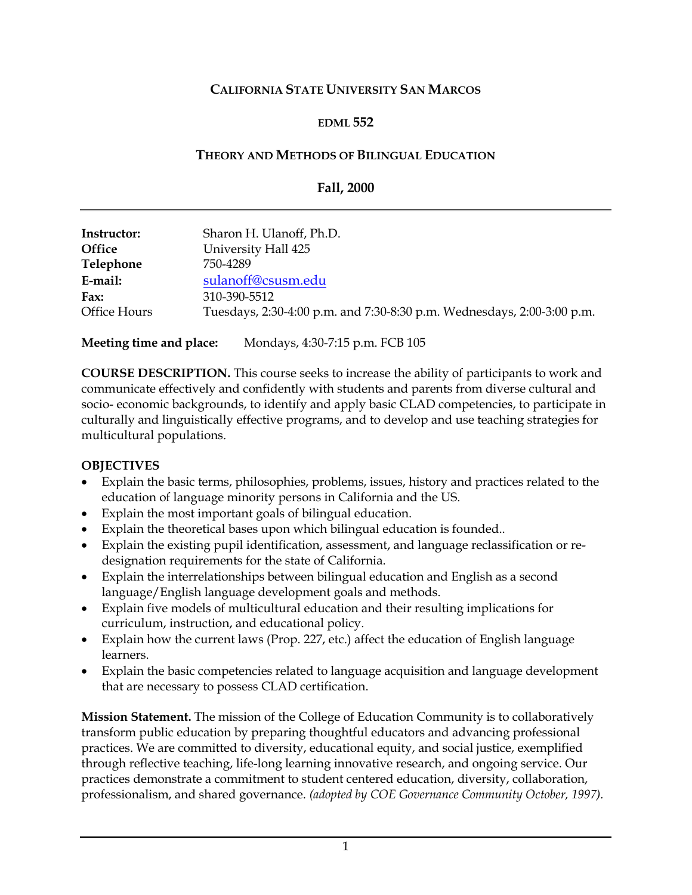## **CALIFORNIA STATE UNIVERSITY SAN MARCOS**

### **EDML 552**

#### **THEORY AND METHODS OF BILINGUAL EDUCATION**

#### **Fall, 2000**

| Instructor:   | Sharon H. Ulanoff, Ph.D.                                               |
|---------------|------------------------------------------------------------------------|
| <b>Office</b> | University Hall 425                                                    |
| Telephone     | 750-4289                                                               |
| E-mail:       | sulanoff@csusm.edu                                                     |
| Fax:          | 310-390-5512                                                           |
| Office Hours  | Tuesdays, 2:30-4:00 p.m. and 7:30-8:30 p.m. Wednesdays, 2:00-3:00 p.m. |
|               |                                                                        |

**Meeting time and place:** Mondays, 4:30-7:15 p.m. FCB 105

**COURSE DESCRIPTION.** This course seeks to increase the ability of participants to work and communicate effectively and confidently with students and parents from diverse cultural and socio- economic backgrounds, to identify and apply basic CLAD competencies, to participate in culturally and linguistically effective programs, and to develop and use teaching strategies for multicultural populations.

### **OBJECTIVES**

- Explain the basic terms, philosophies, problems, issues, history and practices related to the education of language minority persons in California and the US.
- Explain the most important goals of bilingual education.
- Explain the theoretical bases upon which bilingual education is founded..
- Explain the existing pupil identification, assessment, and language reclassification or redesignation requirements for the state of California.
- Explain the interrelationships between bilingual education and English as a second language/English language development goals and methods.
- Explain five models of multicultural education and their resulting implications for curriculum, instruction, and educational policy.
- Explain how the current laws (Prop. 227, etc.) affect the education of English language learners.
- Explain the basic competencies related to language acquisition and language development that are necessary to possess CLAD certification.

**Mission Statement.** The mission of the College of Education Community is to collaboratively transform public education by preparing thoughtful educators and advancing professional practices. We are committed to diversity, educational equity, and social justice, exemplified through reflective teaching, life-long learning innovative research, and ongoing service. Our practices demonstrate a commitment to student centered education, diversity, collaboration, professionalism, and shared governance. *(adopted by COE Governance Community October, 1997).*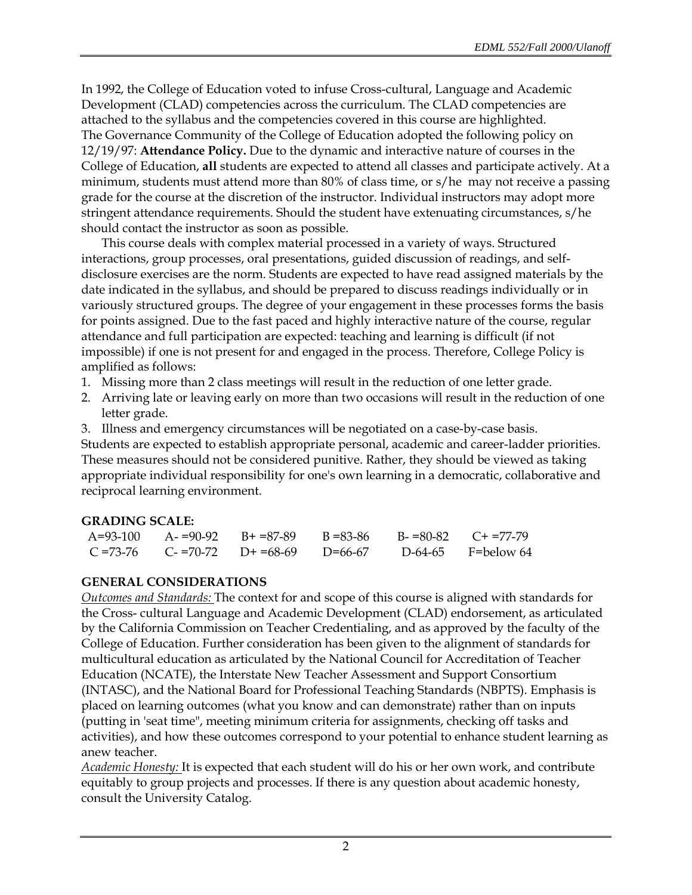In 1992, the College of Education voted to infuse Cross-cultural, Language and Academic Development (CLAD) competencies across the curriculum. The CLAD competencies are attached to the syllabus and the competencies covered in this course are highlighted. The Governance Community of the College of Education adopted the following policy on 12/19/97: **Attendance Policy.** Due to the dynamic and interactive nature of courses in the College of Education, **all** students are expected to attend all classes and participate actively. At a minimum, students must attend more than 80% of class time, or s/he may not receive a passing grade for the course at the discretion of the instructor. Individual instructors may adopt more stringent attendance requirements. Should the student have extenuating circumstances, s/he should contact the instructor as soon as possible.

This course deals with complex material processed in a variety of ways. Structured interactions, group processes, oral presentations, guided discussion of readings, and selfdisclosure exercises are the norm. Students are expected to have read assigned materials by the date indicated in the syllabus, and should be prepared to discuss readings individually or in variously structured groups. The degree of your engagement in these processes forms the basis for points assigned. Due to the fast paced and highly interactive nature of the course, regular attendance and full participation are expected: teaching and learning is difficult (if not impossible) if one is not present for and engaged in the process. Therefore, College Policy is amplified as follows:

- 1. Missing more than 2 class meetings will result in the reduction of one letter grade.
- 2. Arriving late or leaving early on more than two occasions will result in the reduction of one letter grade.
- 3. Illness and emergency circumstances will be negotiated on a case-by-case basis.

Students are expected to establish appropriate personal, academic and career-ladder priorities. These measures should not be considered punitive. Rather, they should be viewed as taking appropriate individual responsibility for one's own learning in a democratic, collaborative and reciprocal learning environment.

# **GRADING SCALE:**

|  | $A=93-100$ $A=90-92$ $B=87-89$ $B=83-86$        |  | $B = 80-82$ $C + 77-79$ |
|--|-------------------------------------------------|--|-------------------------|
|  | $C = 73-76$ $C = 70-72$ $D = 68-69$ $D = 66-67$ |  | $D-64-65$ F=below 64    |

# **GENERAL CONSIDERATIONS**

*Outcomes and Standards:* The context for and scope of this course is aligned with standards for the Cross- cultural Language and Academic Development (CLAD) endorsement, as articulated by the California Commission on Teacher Credentialing, and as approved by the faculty of the College of Education. Further consideration has been given to the alignment of standards for multicultural education as articulated by the National Council for Accreditation of Teacher Education (NCATE), the Interstate New Teacher Assessment and Support Consortium (INTASC), and the National Board for Professional Teaching Standards (NBPTS). Emphasis is placed on learning outcomes (what you know and can demonstrate) rather than on inputs (putting in 'seat time", meeting minimum criteria for assignments, checking off tasks and activities), and how these outcomes correspond to your potential to enhance student learning as anew teacher.

*Academic Honesty:* It is expected that each student will do his or her own work, and contribute equitably to group projects and processes. If there is any question about academic honesty, consult the University Catalog.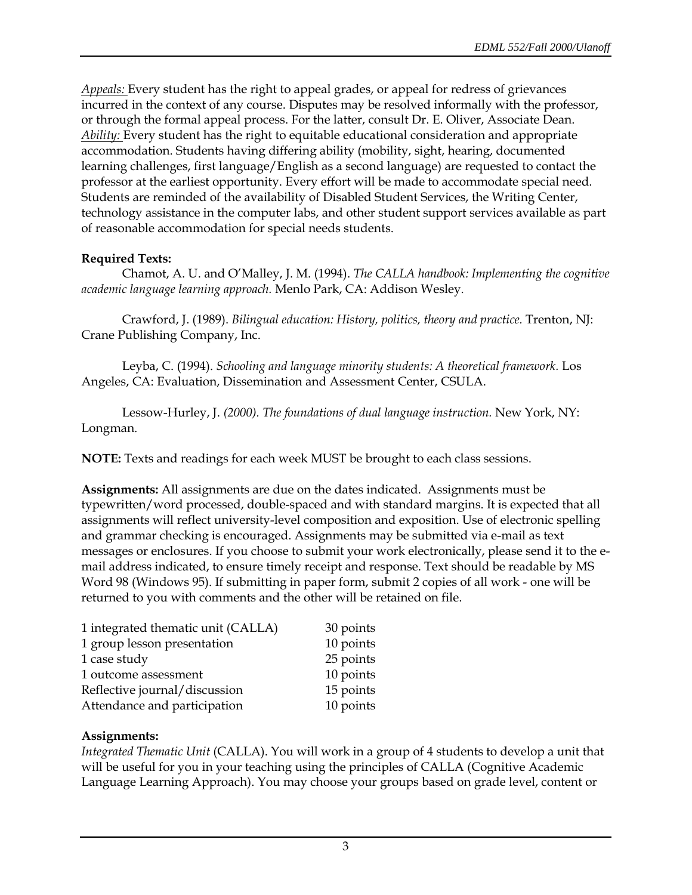*Appeals:* Every student has the right to appeal grades, or appeal for redress of grievances incurred in the context of any course. Disputes may be resolved informally with the professor, or through the formal appeal process. For the latter, consult Dr. E. Oliver, Associate Dean. *Ability:* Every student has the right to equitable educational consideration and appropriate accommodation. Students having differing ability (mobility, sight, hearing, documented learning challenges, first language/English as a second language) are requested to contact the professor at the earliest opportunity. Every effort will be made to accommodate special need. Students are reminded of the availability of Disabled Student Services, the Writing Center, technology assistance in the computer labs, and other student support services available as part of reasonable accommodation for special needs students.

# **Required Texts:**

Chamot, A. U. and O'Malley, J. M. (1994). *The CALLA handbook: Implementing the cognitive academic language learning approach.* Menlo Park, CA: Addison Wesley.

Crawford, J. (1989). *Bilingual education: History, politics, theory and practice.* Trenton, NJ: Crane Publishing Company, Inc.

Leyba, C. (1994). *Schooling and language minority students: A theoretical framework.* Los Angeles, CA: Evaluation, Dissemination and Assessment Center, CSULA.

Lessow-Hurley, J. *(2000). The foundations of dual language instruction.* New York, NY: Longman.

**NOTE:** Texts and readings for each week MUST be brought to each class sessions.

**Assignments:** All assignments are due on the dates indicated. Assignments must be typewritten/word processed, double-spaced and with standard margins. It is expected that all assignments will reflect university-level composition and exposition. Use of electronic spelling and grammar checking is encouraged. Assignments may be submitted via e-mail as text messages or enclosures. If you choose to submit your work electronically, please send it to the email address indicated, to ensure timely receipt and response. Text should be readable by MS Word 98 (Windows 95). If submitting in paper form, submit 2 copies of all work - one will be returned to you with comments and the other will be retained on file.

| 1 integrated thematic unit (CALLA) | 30 points |
|------------------------------------|-----------|
| 1 group lesson presentation        | 10 points |
| 1 case study                       | 25 points |
| 1 outcome assessment               | 10 points |
| Reflective journal/discussion      | 15 points |
| Attendance and participation       | 10 points |

### **Assignments:**

*Integrated Thematic Unit* (CALLA). You will work in a group of 4 students to develop a unit that will be useful for you in your teaching using the principles of CALLA (Cognitive Academic Language Learning Approach). You may choose your groups based on grade level, content or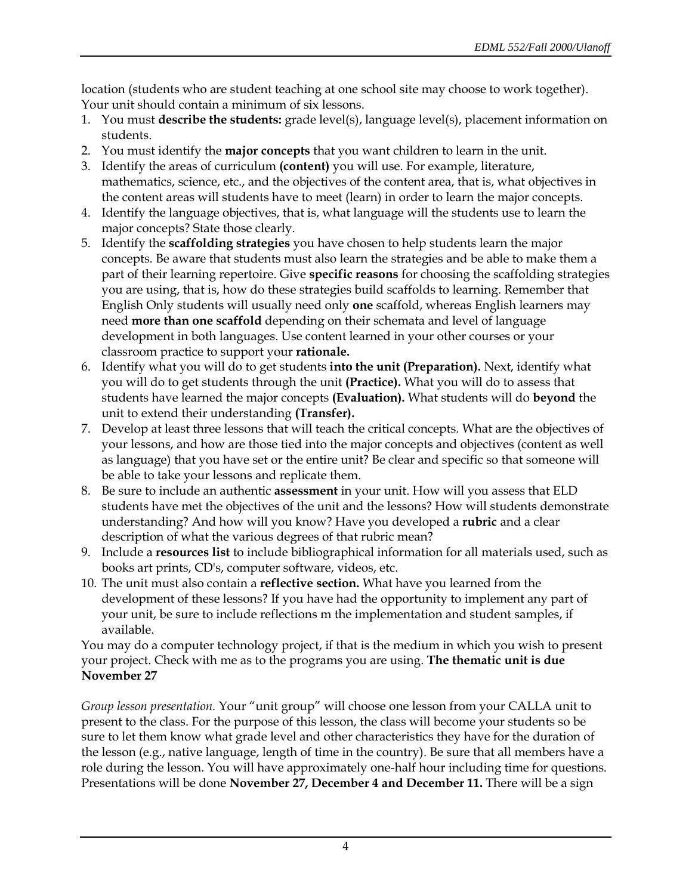location (students who are student teaching at one school site may choose to work together). Your unit should contain a minimum of six lessons.

- 1. You must **describe the students:** grade level(s), language level(s), placement information on students.
- 2. You must identify the **major concepts** that you want children to learn in the unit.
- 3. Identify the areas of curriculum **(content)** you will use. For example, literature, mathematics, science, etc., and the objectives of the content area, that is, what objectives in the content areas will students have to meet (learn) in order to learn the major concepts.
- 4. Identify the language objectives, that is, what language will the students use to learn the major concepts? State those clearly.
- 5. Identify the **scaffolding strategies** you have chosen to help students learn the major concepts. Be aware that students must also learn the strategies and be able to make them a part of their learning repertoire. Give **specific reasons** for choosing the scaffolding strategies you are using, that is, how do these strategies build scaffolds to learning. Remember that English Only students will usually need only **one** scaffold, whereas English learners may need **more than one scaffold** depending on their schemata and level of language development in both languages. Use content learned in your other courses or your classroom practice to support your **rationale.**
- 6. Identify what you will do to get students **into the unit (Preparation).** Next, identify what you will do to get students through the unit **(Practice).** What you will do to assess that students have learned the major concepts **(Evaluation).** What students will do **beyond** the unit to extend their understanding **(Transfer).**
- 7. Develop at least three lessons that will teach the critical concepts. What are the objectives of your lessons, and how are those tied into the major concepts and objectives (content as well as language) that you have set or the entire unit? Be clear and specific so that someone will be able to take your lessons and replicate them.
- 8. Be sure to include an authentic **assessment** in your unit. How will you assess that ELD students have met the objectives of the unit and the lessons? How will students demonstrate understanding? And how will you know? Have you developed a **rubric** and a clear description of what the various degrees of that rubric mean?
- 9. Include a **resources list** to include bibliographical information for all materials used, such as books art prints, CD's, computer software, videos, etc.
- 10. The unit must also contain a **reflective section.** What have you learned from the development of these lessons? If you have had the opportunity to implement any part of your unit, be sure to include reflections m the implementation and student samples, if available.

You may do a computer technology project, if that is the medium in which you wish to present your project. Check with me as to the programs you are using. **The thematic unit is due November 27** 

*Group lesson presentation.* Your "unit group" will choose one lesson from your CALLA unit to present to the class. For the purpose of this lesson, the class will become your students so be sure to let them know what grade level and other characteristics they have for the duration of the lesson (e.g., native language, length of time in the country). Be sure that all members have a role during the lesson. You will have approximately one-half hour including time for questions. Presentations will be done **November 27, December 4 and December 11.** There will be a sign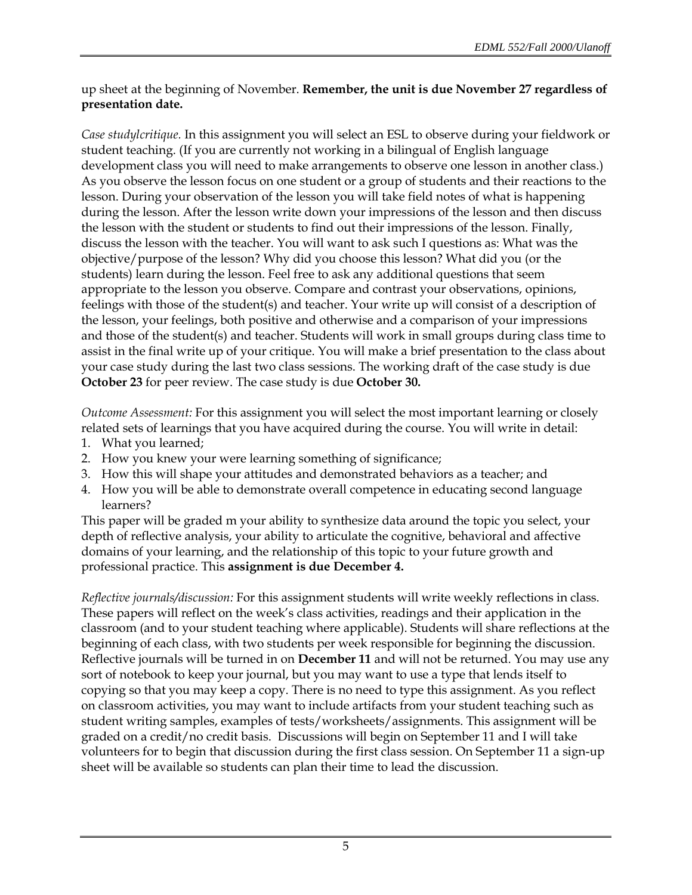## up sheet at the beginning of November. **Remember, the unit is due November 27 regardless of presentation date.**

*Case studylcritique.* In this assignment you will select an ESL to observe during your fieldwork or student teaching. (If you are currently not working in a bilingual of English language development class you will need to make arrangements to observe one lesson in another class.) As you observe the lesson focus on one student or a group of students and their reactions to the lesson. During your observation of the lesson you will take field notes of what is happening during the lesson. After the lesson write down your impressions of the lesson and then discuss the lesson with the student or students to find out their impressions of the lesson. Finally, discuss the lesson with the teacher. You will want to ask such I questions as: What was the objective/purpose of the lesson? Why did you choose this lesson? What did you (or the students) learn during the lesson. Feel free to ask any additional questions that seem appropriate to the lesson you observe. Compare and contrast your observations, opinions, feelings with those of the student(s) and teacher. Your write up will consist of a description of the lesson, your feelings, both positive and otherwise and a comparison of your impressions and those of the student(s) and teacher. Students will work in small groups during class time to assist in the final write up of your critique. You will make a brief presentation to the class about your case study during the last two class sessions. The working draft of the case study is due **October 23** for peer review. The case study is due **October 30.** 

*Outcome Assessment:* For this assignment you will select the most important learning or closely related sets of learnings that you have acquired during the course. You will write in detail:

- 1. What you learned;
- 2. How you knew your were learning something of significance;
- 3. How this will shape your attitudes and demonstrated behaviors as a teacher; and
- 4. How you will be able to demonstrate overall competence in educating second language learners?

This paper will be graded m your ability to synthesize data around the topic you select, your depth of reflective analysis, your ability to articulate the cognitive, behavioral and affective domains of your learning, and the relationship of this topic to your future growth and professional practice. This **assignment is due December 4.** 

*Reflective journals/discussion:* For this assignment students will write weekly reflections in class. These papers will reflect on the week's class activities, readings and their application in the classroom (and to your student teaching where applicable). Students will share reflections at the beginning of each class, with two students per week responsible for beginning the discussion. Reflective journals will be turned in on **December 11** and will not be returned. You may use any sort of notebook to keep your journal, but you may want to use a type that lends itself to copying so that you may keep a copy. There is no need to type this assignment. As you reflect on classroom activities, you may want to include artifacts from your student teaching such as student writing samples, examples of tests/worksheets/assignments. This assignment will be graded on a credit/no credit basis. Discussions will begin on September 11 and I will take volunteers for to begin that discussion during the first class session. On September 11 a sign-up sheet will be available so students can plan their time to lead the discussion.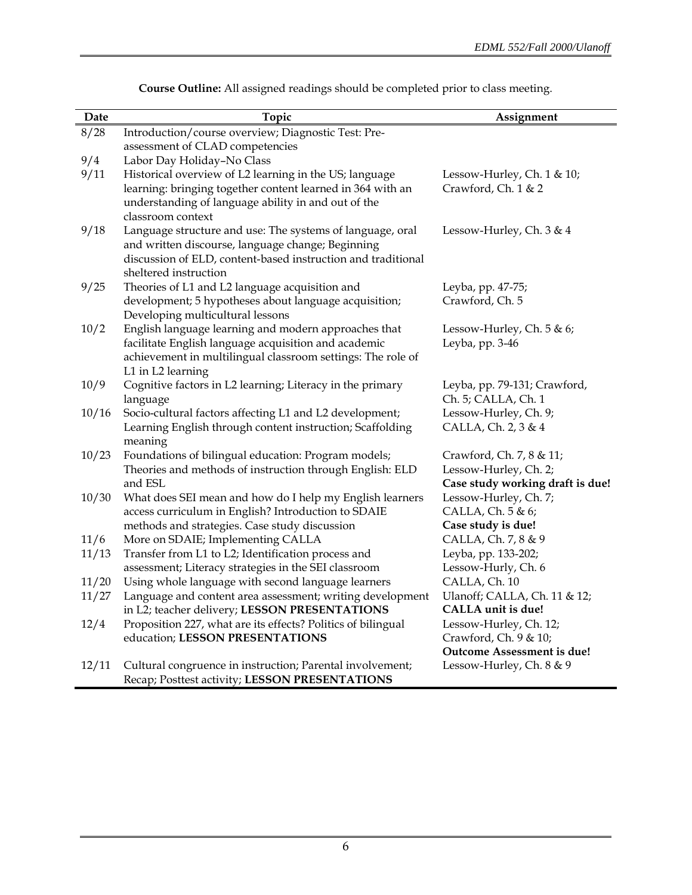| Date  | Topic                                                                                                                                                                                                   | Assignment                                          |
|-------|---------------------------------------------------------------------------------------------------------------------------------------------------------------------------------------------------------|-----------------------------------------------------|
| 8/28  | Introduction/course overview; Diagnostic Test: Pre-                                                                                                                                                     |                                                     |
|       | assessment of CLAD competencies                                                                                                                                                                         |                                                     |
| 9/4   | Labor Day Holiday-No Class                                                                                                                                                                              |                                                     |
| 9/11  | Historical overview of L2 learning in the US; language<br>learning: bringing together content learned in 364 with an<br>understanding of language ability in and out of the<br>classroom context        | Lessow-Hurley, Ch. 1 & 10;<br>Crawford, Ch. 1 & 2   |
| 9/18  | Language structure and use: The systems of language, oral<br>and written discourse, language change; Beginning<br>discussion of ELD, content-based instruction and traditional<br>sheltered instruction | Lessow-Hurley, Ch. 3 & 4                            |
| 9/25  | Theories of L1 and L2 language acquisition and                                                                                                                                                          | Leyba, pp. 47-75;                                   |
|       | development; 5 hypotheses about language acquisition;<br>Developing multicultural lessons                                                                                                               | Crawford, Ch. 5                                     |
| 10/2  | English language learning and modern approaches that                                                                                                                                                    | Lessow-Hurley, Ch. $5 & 6$ ;                        |
|       | facilitate English language acquisition and academic<br>achievement in multilingual classroom settings: The role of<br>L1 in L2 learning                                                                | Leyba, pp. 3-46                                     |
| 10/9  | Cognitive factors in L2 learning; Literacy in the primary<br>language                                                                                                                                   | Leyba, pp. 79-131; Crawford,<br>Ch. 5; CALLA, Ch. 1 |
| 10/16 | Socio-cultural factors affecting L1 and L2 development;                                                                                                                                                 | Lessow-Hurley, Ch. 9;                               |
|       | Learning English through content instruction; Scaffolding<br>meaning                                                                                                                                    | CALLA, Ch. 2, 3 & 4                                 |
| 10/23 | Foundations of bilingual education: Program models;                                                                                                                                                     | Crawford, Ch. 7, 8 & 11;                            |
|       | Theories and methods of instruction through English: ELD                                                                                                                                                | Lessow-Hurley, Ch. 2;                               |
|       | and ESL                                                                                                                                                                                                 | Case study working draft is due!                    |
| 10/30 | What does SEI mean and how do I help my English learners                                                                                                                                                | Lessow-Hurley, Ch. 7;                               |
|       | access curriculum in English? Introduction to SDAIE                                                                                                                                                     | CALLA, Ch. 5 & 6;                                   |
|       | methods and strategies. Case study discussion                                                                                                                                                           | Case study is due!                                  |
| 11/6  | More on SDAIE; Implementing CALLA                                                                                                                                                                       | CALLA, Ch. 7, 8 & 9                                 |
| 11/13 | Transfer from L1 to L2; Identification process and                                                                                                                                                      | Leyba, pp. 133-202;                                 |
|       | assessment; Literacy strategies in the SEI classroom                                                                                                                                                    | Lessow-Hurly, Ch. 6                                 |
| 11/20 | Using whole language with second language learners                                                                                                                                                      | CALLA, Ch. 10                                       |
| 11/27 | Language and content area assessment; writing development                                                                                                                                               | Ulanoff; CALLA, Ch. 11 & 12;                        |
|       | in L2; teacher delivery; LESSON PRESENTATIONS                                                                                                                                                           | CALLA unit is due!                                  |
| 12/4  | Proposition 227, what are its effects? Politics of bilingual                                                                                                                                            | Lessow-Hurley, Ch. 12;                              |
|       | education; LESSON PRESENTATIONS                                                                                                                                                                         | Crawford, Ch. 9 & 10;                               |
|       |                                                                                                                                                                                                         | Outcome Assessment is due!                          |
| 12/11 | Cultural congruence in instruction; Parental involvement;<br>Recap; Posttest activity; LESSON PRESENTATIONS                                                                                             | Lessow-Hurley, Ch. 8 & 9                            |

**Course Outline:** All assigned readings should be completed prior to class meeting.